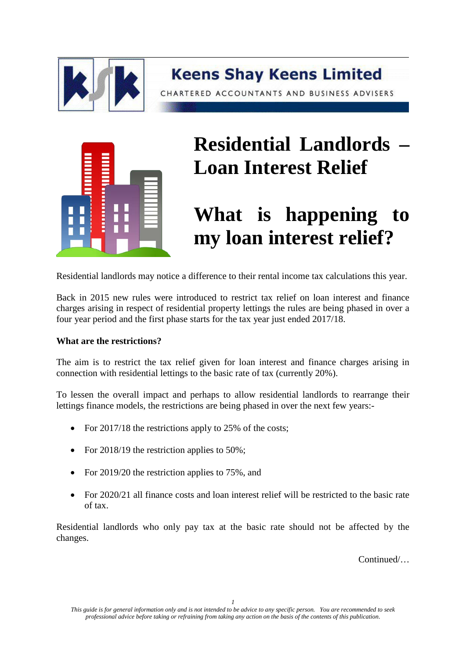



## **Residential Landlords – Loan Interest Relief**

## **What is happening to my loan interest relief?**

Residential landlords may notice a difference to their rental income tax calculations this year.

Back in 2015 new rules were introduced to restrict tax relief on loan interest and finance charges arising in respect of residential property lettings the rules are being phased in over a four year period and the first phase starts for the tax year just ended 2017/18.

## **What are the restrictions?**

The aim is to restrict the tax relief given for loan interest and finance charges arising in connection with residential lettings to the basic rate of tax (currently 20%).

To lessen the overall impact and perhaps to allow residential landlords to rearrange their lettings finance models, the restrictions are being phased in over the next few years:-

- For 2017/18 the restrictions apply to 25% of the costs;
- For 2018/19 the restriction applies to 50%;
- For 2019/20 the restriction applies to 75%, and
- For 2020/21 all finance costs and loan interest relief will be restricted to the basic rate of tax.

Residential landlords who only pay tax at the basic rate should not be affected by the changes.

Continued/…

*This guide is for general information only and is not intended to be advice to any specific person. You are recommended to seek professional advice before taking or refraining from taking any action on the basis of the contents of this publication*.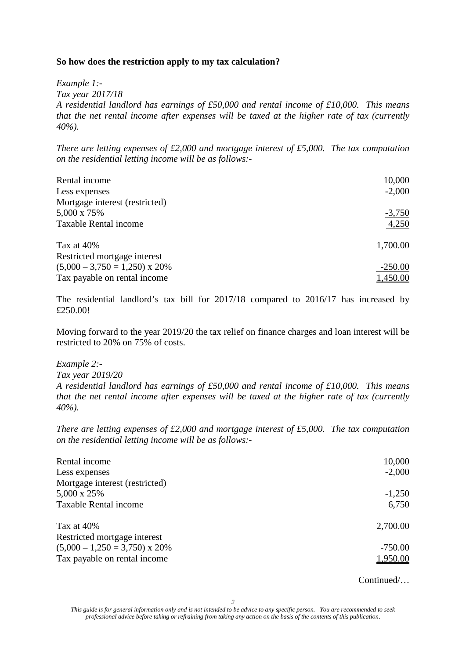## **So how does the restriction apply to my tax calculation?**

*Example 1:-*

*Tax year 2017/18*

*A residential landlord has earnings of £50,000 and rental income of £10,000. This means that the net rental income after expenses will be taxed at the higher rate of tax (currently 40%).*

*There are letting expenses of £2,000 and mortgage interest of £5,000. The tax computation on the residential letting income will be as follows:-*

| Rental income                   | 10,000    |
|---------------------------------|-----------|
| Less expenses                   | $-2,000$  |
| Mortgage interest (restricted)  |           |
| 5,000 x 75%                     | $-3,750$  |
| <b>Taxable Rental income</b>    | 4,250     |
| Tax at $40\%$                   | 1,700.00  |
| Restricted mortgage interest    |           |
| $(5,000 - 3,750 = 1,250)$ x 20% | $-250.00$ |
| Tax payable on rental income    | 1,450.00  |

The residential landlord's tax bill for 2017/18 compared to 2016/17 has increased by £250.00!

Moving forward to the year 2019/20 the tax relief on finance charges and loan interest will be restricted to 20% on 75% of costs.

*Example 2:-*

*Tax year 2019/20*

*A residential landlord has earnings of £50,000 and rental income of £10,000. This means that the net rental income after expenses will be taxed at the higher rate of tax (currently 40%).*

*There are letting expenses of £2,000 and mortgage interest of £5,000. The tax computation on the residential letting income will be as follows:-*

| Rental income                         | 10,000    |
|---------------------------------------|-----------|
| Less expenses                         | $-2,000$  |
| Mortgage interest (restricted)        |           |
| 5,000 x 25%                           | $-1,250$  |
| <b>Taxable Rental income</b>          | 6,750     |
| Tax at 40%                            | 2,700.00  |
| Restricted mortgage interest          |           |
| $(5,000 - 1,250 = 3,750) \times 20\%$ | $-750.00$ |
| Tax payable on rental income          | 1,950.00  |

Continued/…